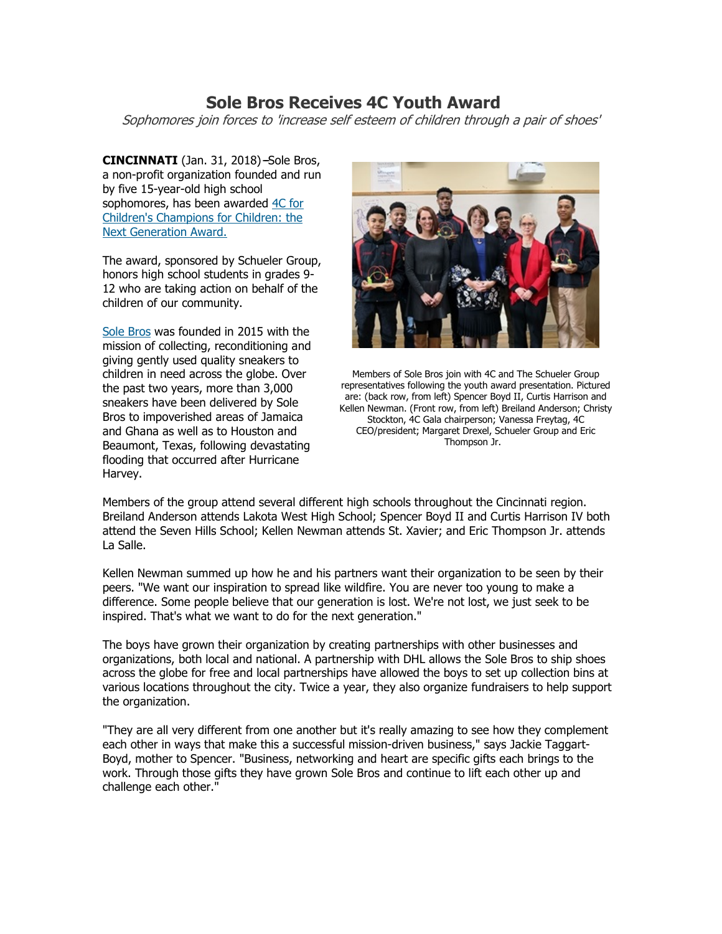## **Sole Bros Receives 4C Youth Award**

Sophomores join forces to 'increase self esteem of children through a pair of shoes'

**CINCINNATI** (Jan. 31, 2018)-Sole Bros, a non-profit organization founded and run by five 15-year-old high school sophomores, has been awarded 4C for [Children's Champions for Children: the](http://gala.4cforchildren.org/youthaward.aspx)  [Next Generation Award.](http://gala.4cforchildren.org/youthaward.aspx)

The award, sponsored by Schueler Group, honors high school students in grades 9- 12 who are taking action on behalf of the children of our community.

[Sole Bros](https://www.solebrosinc.org/) was founded in 2015 with the mission of collecting, reconditioning and giving gently used quality sneakers to children in need across the globe. Over the past two years, more than 3,000 sneakers have been delivered by Sole Bros to impoverished areas of Jamaica and Ghana as well as to Houston and Beaumont, Texas, following devastating flooding that occurred after Hurricane Harvey.



Members of Sole Bros join with 4C and The Schueler Group representatives following the youth award presentation. Pictured are: (back row, from left) Spencer Boyd II, Curtis Harrison and Kellen Newman. (Front row, from left) Breiland Anderson; Christy Stockton, 4C Gala chairperson; Vanessa Freytag, 4C CEO/president; Margaret Drexel, Schueler Group and Eric Thompson Jr.

Members of the group attend several different high schools throughout the Cincinnati region. Breiland Anderson attends Lakota West High School; Spencer Boyd II and Curtis Harrison IV both attend the Seven Hills School; Kellen Newman attends St. Xavier; and Eric Thompson Jr. attends La Salle.

Kellen Newman summed up how he and his partners want their organization to be seen by their peers. "We want our inspiration to spread like wildfire. You are never too young to make a difference. Some people believe that our generation is lost. We're not lost, we just seek to be inspired. That's what we want to do for the next generation."

The boys have grown their organization by creating partnerships with other businesses and organizations, both local and national. A partnership with DHL allows the Sole Bros to ship shoes across the globe for free and local partnerships have allowed the boys to set up collection bins at various locations throughout the city. Twice a year, they also organize fundraisers to help support the organization.

"They are all very different from one another but it's really amazing to see how they complement each other in ways that make this a successful mission-driven business," says Jackie Taggart-Boyd, mother to Spencer. "Business, networking and heart are specific gifts each brings to the work. Through those gifts they have grown Sole Bros and continue to lift each other up and challenge each other."